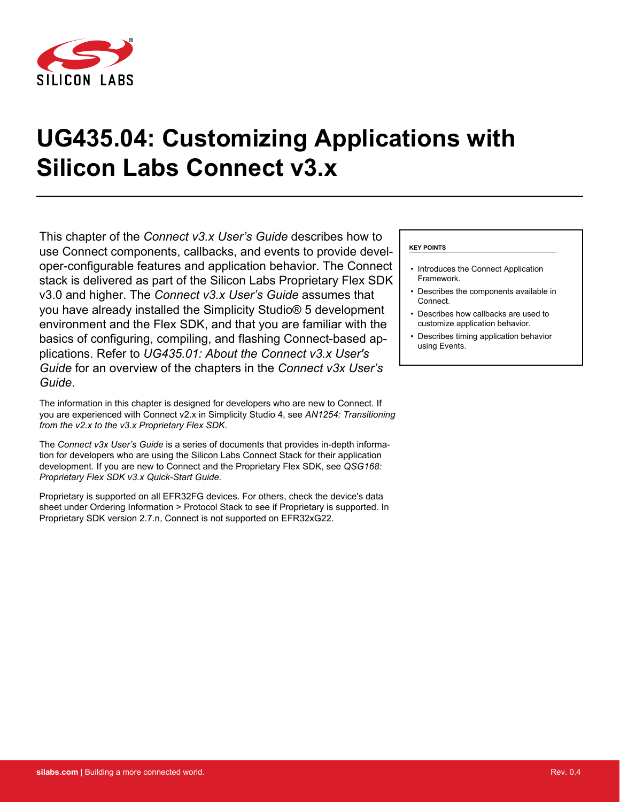

# **UG435.04: Customizing Applications with Silicon Labs Connect v3.x**

This chapter of the *Connect v3.x User's Guide* describes how to use Connect components, callbacks, and events to provide developer-configurable features and application behavior. The Connect stack is delivered as part of the Silicon Labs Proprietary Flex SDK v3.0 and higher. The *Connect v3.x User's Guide* assumes that you have already installed the Simplicity Studio® 5 development environment and the Flex SDK, and that you are familiar with the basics of configuring, compiling, and flashing Connect-based applications. Refer to *UG435.01: About the Connect v3.x User's Guide* for an overview of the chapters in the *Connect v3x User's Guide*.

The information in this chapter is designed for developers who are new to Connect. If you are experienced with Connect v2.x in Simplicity Studio 4, see *AN1254: Transitioning from the v2.x to the v3.x Proprietary Flex SDK*.

The *Connect v3x User's Guide* is a series of documents that provides in-depth information for developers who are using the Silicon Labs Connect Stack for their application development. If you are new to Connect and the Proprietary Flex SDK, see *QSG168: Proprietary Flex SDK v3.x Quick-Start Guide.*

Proprietary is supported on all EFR32FG devices. For others, check the device's data sheet under Ordering Information > Protocol Stack to see if Proprietary is supported. In Proprietary SDK version 2.7.n, Connect is not supported on EFR32xG22.

#### **KEY POINTS**

- Introduces the Connect Application Framework.
- Describes the components available in Connect.
- Describes how callbacks are used to customize application behavior.
- Describes timing application behavior using Events.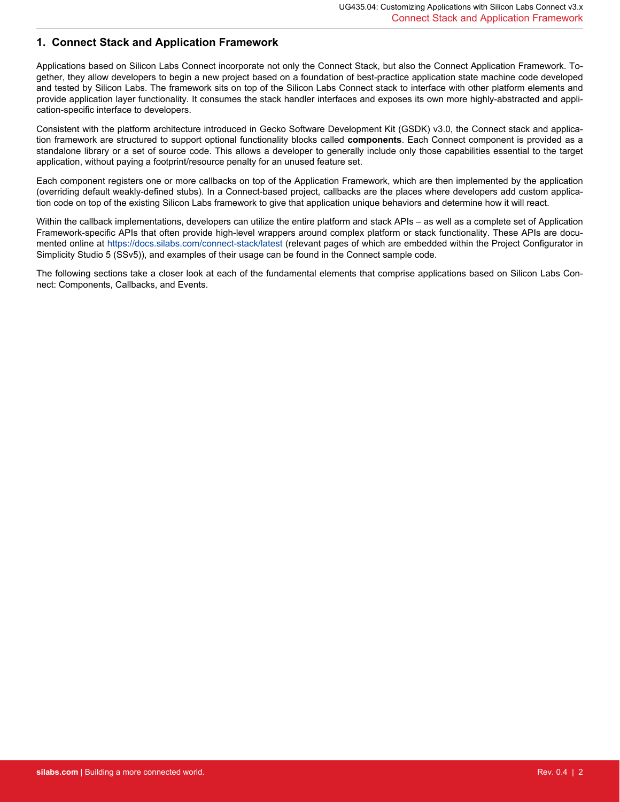## **1. Connect Stack and Application Framework**

Applications based on Silicon Labs Connect incorporate not only the Connect Stack, but also the Connect Application Framework. Together, they allow developers to begin a new project based on a foundation of best-practice application state machine code developed and tested by Silicon Labs. The framework sits on top of the Silicon Labs Connect stack to interface with other platform elements and provide application layer functionality. It consumes the stack handler interfaces and exposes its own more highly-abstracted and application-specific interface to developers.

Consistent with the platform architecture introduced in Gecko Software Development Kit (GSDK) v3.0, the Connect stack and application framework are structured to support optional functionality blocks called **components**. Each Connect component is provided as a standalone library or a set of source code. This allows a developer to generally include only those capabilities essential to the target application, without paying a footprint/resource penalty for an unused feature set.

Each component registers one or more callbacks on top of the Application Framework, which are then implemented by the application (overriding default weakly-defined stubs). In a Connect-based project, callbacks are the places where developers add custom application code on top of the existing Silicon Labs framework to give that application unique behaviors and determine how it will react.

Within the callback implementations, developers can utilize the entire platform and stack APIs – as well as a complete set of Application Framework-specific APIs that often provide high-level wrappers around complex platform or stack functionality. These APIs are documented online at <https://docs.silabs.com/connect-stack/latest> (relevant pages of which are embedded within the Project Configurator in Simplicity Studio 5 (SSv5)), and examples of their usage can be found in the Connect sample code.

The following sections take a closer look at each of the fundamental elements that comprise applications based on Silicon Labs Connect: Components, Callbacks, and Events.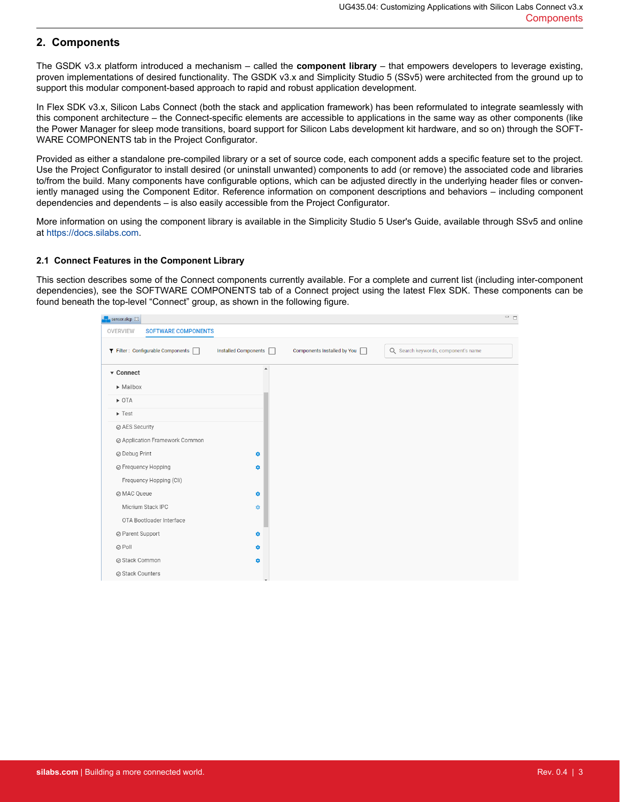## **2. Components**

The GSDK v3.x platform introduced a mechanism – called the **component library** – that empowers developers to leverage existing, proven implementations of desired functionality. The GSDK v3.x and Simplicity Studio 5 (SSv5) were architected from the ground up to support this modular component-based approach to rapid and robust application development.

In Flex SDK v3.x, Silicon Labs Connect (both the stack and application framework) has been reformulated to integrate seamlessly with this component architecture – the Connect-specific elements are accessible to applications in the same way as other components (like the Power Manager for sleep mode transitions, board support for Silicon Labs development kit hardware, and so on) through the SOFT-WARE COMPONENTS tab in the Project Configurator.

Provided as either a standalone pre-compiled library or a set of source code, each component adds a specific feature set to the project. Use the Project Configurator to install desired (or uninstall unwanted) components to add (or remove) the associated code and libraries to/from the build. Many components have configurable options, which can be adjusted directly in the underlying header files or conveniently managed using the Component Editor. Reference information on component descriptions and behaviors – including component dependencies and dependents – is also easily accessible from the Project Configurator.

More information on using the component library is available in the Simplicity Studio 5 User's Guide, available through SSv5 and online at<https://docs.silabs.com>.

#### **2.1 Connect Features in the Component Library**

This section describes some of the Connect components currently available. For a complete and current list (including inter-component dependencies), see the SOFTWARE COMPONENTS tab of a Connect project using the latest Flex SDK. These components can be found beneath the top-level "Connect" group, as shown in the following figure.

| sensor.slcp &                          |                      |                             | $ -$                                |  |
|----------------------------------------|----------------------|-----------------------------|-------------------------------------|--|
| <b>SOFTWARE COMPONENTS</b><br>OVERVIEW |                      |                             |                                     |  |
| ▼ Filter: Configurable Components □    | Installed Components | Components Installed by You | Q Search keywords, component's name |  |
| ▼ Connect                              | $\blacktriangle$     |                             |                                     |  |
| $\triangleright$ Mailbox               |                      |                             |                                     |  |
| $\triangleright$ OTA                   |                      |                             |                                     |  |
| $\blacktriangleright$ Test             |                      |                             |                                     |  |
| ⊘ AES Security                         |                      |                             |                                     |  |
| ◎ Application Framework Common         |                      |                             |                                     |  |
| ⊘ Debug Print                          | ۰                    |                             |                                     |  |
| ◎ Frequency Hopping                    | ۰                    |                             |                                     |  |
| Frequency Hopping (Cli)                |                      |                             |                                     |  |
| ⊘ MAC Queue                            | ۰                    |                             |                                     |  |
| Micrium Stack IPC                      | $\mathfrak{O}$       |                             |                                     |  |
| OTA Bootloader Interface               |                      |                             |                                     |  |
| ⊘ Parent Support                       | ۰                    |                             |                                     |  |
| ⊘ Poll                                 | ٠                    |                             |                                     |  |
| ⊘ Stack Common                         | ۰                    |                             |                                     |  |
| ⊘ Stack Counters                       |                      |                             |                                     |  |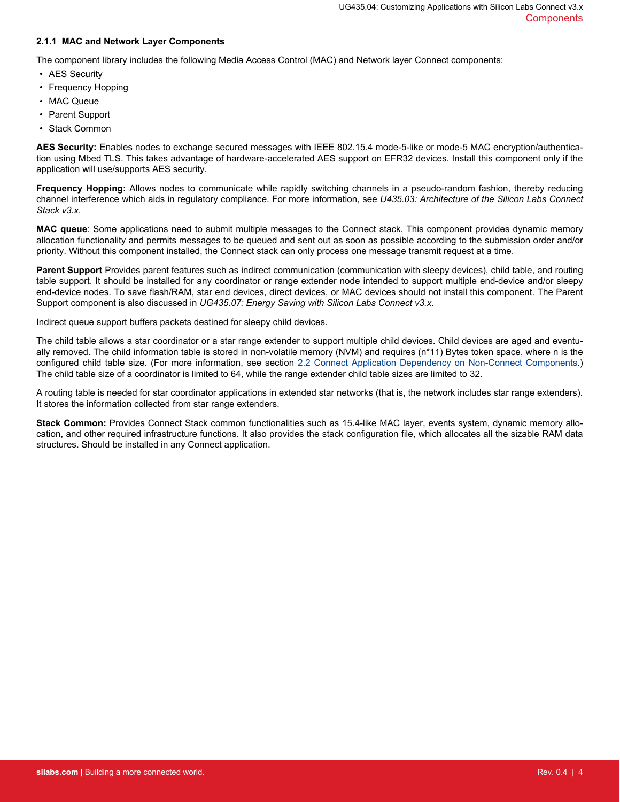#### **2.1.1 MAC and Network Layer Components**

The component library includes the following Media Access Control (MAC) and Network layer Connect components:

- AES Security
- Frequency Hopping
- MAC Queue
- Parent Support
- Stack Common

**AES Security:** Enables nodes to exchange secured messages with IEEE 802.15.4 mode-5-like or mode-5 MAC encryption/authentication using Mbed TLS. This takes advantage of hardware-accelerated AES support on EFR32 devices. Install this component only if the application will use/supports AES security.

**Frequency Hopping:** Allows nodes to communicate while rapidly switching channels in a pseudo-random fashion, thereby reducing channel interference which aids in regulatory compliance. For more information, see *U435.03: Architecture of the Silicon Labs Connect Stack v3.x*.

**MAC queue**: Some applications need to submit multiple messages to the Connect stack. This component provides dynamic memory allocation functionality and permits messages to be queued and sent out as soon as possible according to the submission order and/or priority. Without this component installed, the Connect stack can only process one message transmit request at a time.

**Parent Support** Provides parent features such as indirect communication (communication with sleepy devices), child table, and routing table support. It should be installed for any coordinator or range extender node intended to support multiple end-device and/or sleepy end-device nodes. To save flash/RAM, star end devices, direct devices, or MAC devices should not install this component. The Parent Support component is also discussed in *UG435.07: Energy Saving with Silicon Labs Connect v3.x*.

Indirect queue support buffers packets destined for sleepy child devices.

The child table allows a star coordinator or a star range extender to support multiple child devices. Child devices are aged and eventually removed. The child information table is stored in non-volatile memory (NVM) and requires (n\*11) Bytes token space, where n is the configured child table size. (For more information, see section [2.2 Connect Application Dependency on Non-Connect Components.](#page-6-0)) The child table size of a coordinator is limited to 64, while the range extender child table sizes are limited to 32.

A routing table is needed for star coordinator applications in extended star networks (that is, the network includes star range extenders). It stores the information collected from star range extenders.

**Stack Common:** Provides Connect Stack common functionalities such as 15.4-like MAC layer, events system, dynamic memory allocation, and other required infrastructure functions. It also provides the stack configuration file, which allocates all the sizable RAM data structures. Should be installed in any Connect application.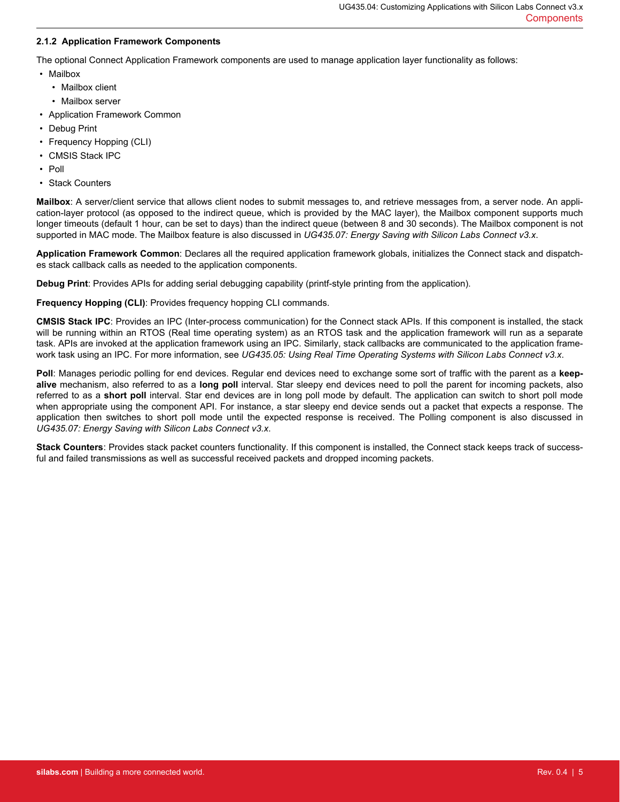#### **2.1.2 Application Framework Components**

The optional Connect Application Framework components are used to manage application layer functionality as follows:

- Mailbox
	- Mailbox client
	- Mailbox server
- Application Framework Common
- Debug Print
- Frequency Hopping (CLI)
- CMSIS Stack IPC
- Poll
- Stack Counters

**Mailbox**: A server/client service that allows client nodes to submit messages to, and retrieve messages from, a server node. An application-layer protocol (as opposed to the indirect queue, which is provided by the MAC layer), the Mailbox component supports much longer timeouts (default 1 hour, can be set to days) than the indirect queue (between 8 and 30 seconds). The Mailbox component is not supported in MAC mode. The Mailbox feature is also discussed in *UG435.07: Energy Saving with Silicon Labs Connect v3.x*.

**Application Framework Common**: Declares all the required application framework globals, initializes the Connect stack and dispatches stack callback calls as needed to the application components.

**Debug Print**: Provides APIs for adding serial debugging capability (printf-style printing from the application).

**Frequency Hopping (CLI)**: Provides frequency hopping CLI commands.

**CMSIS Stack IPC**: Provides an IPC (Inter-process communication) for the Connect stack APIs. If this component is installed, the stack will be running within an RTOS (Real time operating system) as an RTOS task and the application framework will run as a separate task. APIs are invoked at the application framework using an IPC. Similarly, stack callbacks are communicated to the application framework task using an IPC. For more information, see *UG435.05: Using Real Time Operating Systems with Silicon Labs Connect v3.x*.

**Poll**: Manages periodic polling for end devices. Regular end devices need to exchange some sort of traffic with the parent as a **keepalive** mechanism, also referred to as a **long poll** interval. Star sleepy end devices need to poll the parent for incoming packets, also referred to as a **short poll** interval. Star end devices are in long poll mode by default. The application can switch to short poll mode when appropriate using the component API. For instance, a star sleepy end device sends out a packet that expects a response. The application then switches to short poll mode until the expected response is received. The Polling component is also discussed in *UG435.07: Energy Saving with Silicon Labs Connect v3.x*.

**Stack Counters**: Provides stack packet counters functionality. If this component is installed, the Connect stack keeps track of successful and failed transmissions as well as successful received packets and dropped incoming packets.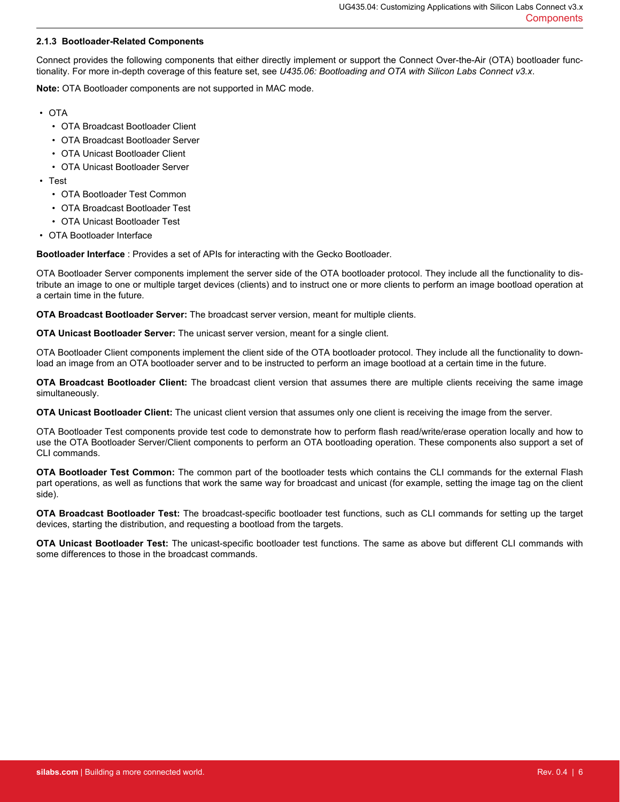#### **2.1.3 Bootloader-Related Components**

Connect provides the following components that either directly implement or support the Connect Over-the-Air (OTA) bootloader functionality. For more in-depth coverage of this feature set, see *U435.06: Bootloading and OTA with Silicon Labs Connect v3.x*.

**Note:** OTA Bootloader components are not supported in MAC mode.

- OTA
	- OTA Broadcast Bootloader Client
	- OTA Broadcast Bootloader Server
	- OTA Unicast Bootloader Client
	- OTA Unicast Bootloader Server
- Test
	- OTA Bootloader Test Common
	- OTA Broadcast Bootloader Test
	- OTA Unicast Bootloader Test
- OTA Bootloader Interface

**Bootloader Interface** : Provides a set of APIs for interacting with the Gecko Bootloader.

OTA Bootloader Server components implement the server side of the OTA bootloader protocol. They include all the functionality to distribute an image to one or multiple target devices (clients) and to instruct one or more clients to perform an image bootload operation at a certain time in the future.

**OTA Broadcast Bootloader Server:** The broadcast server version, meant for multiple clients.

**OTA Unicast Bootloader Server:** The unicast server version, meant for a single client.

OTA Bootloader Client components implement the client side of the OTA bootloader protocol. They include all the functionality to download an image from an OTA bootloader server and to be instructed to perform an image bootload at a certain time in the future.

**OTA Broadcast Bootloader Client:** The broadcast client version that assumes there are multiple clients receiving the same image simultaneously.

**OTA Unicast Bootloader Client:** The unicast client version that assumes only one client is receiving the image from the server.

OTA Bootloader Test components provide test code to demonstrate how to perform flash read/write/erase operation locally and how to use the OTA Bootloader Server/Client components to perform an OTA bootloading operation. These components also support a set of CLI commands.

**OTA Bootloader Test Common:** The common part of the bootloader tests which contains the CLI commands for the external Flash part operations, as well as functions that work the same way for broadcast and unicast (for example, setting the image tag on the client side).

**OTA Broadcast Bootloader Test:** The broadcast-specific bootloader test functions, such as CLI commands for setting up the target devices, starting the distribution, and requesting a bootload from the targets.

**OTA Unicast Bootloader Test:** The unicast-specific bootloader test functions. The same as above but different CLI commands with some differences to those in the broadcast commands.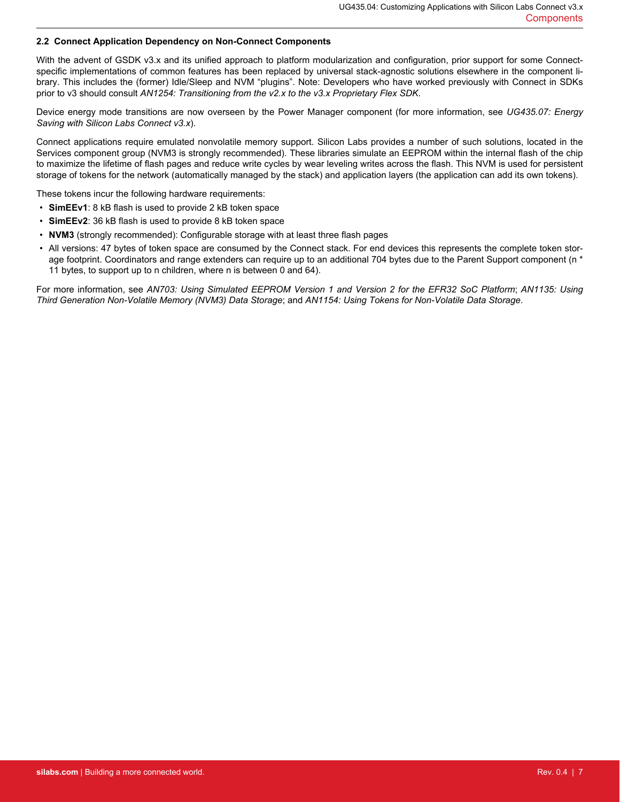#### <span id="page-6-0"></span>**2.2 Connect Application Dependency on Non-Connect Components**

With the advent of GSDK v3.x and its unified approach to platform modularization and configuration, prior support for some Connectspecific implementations of common features has been replaced by universal stack-agnostic solutions elsewhere in the component library. This includes the (former) Idle/Sleep and NVM "plugins". Note: Developers who have worked previously with Connect in SDKs prior to v3 should consult *AN1254: Transitioning from the v2.x to the v3.x Proprietary Flex SDK*.

Device energy mode transitions are now overseen by the Power Manager component (for more information, see *UG435.07: Energy Saving with Silicon Labs Connect v3.x*).

Connect applications require emulated nonvolatile memory support. Silicon Labs provides a number of such solutions, located in the Services component group (NVM3 is strongly recommended). These libraries simulate an EEPROM within the internal flash of the chip to maximize the lifetime of flash pages and reduce write cycles by wear leveling writes across the flash. This NVM is used for persistent storage of tokens for the network (automatically managed by the stack) and application layers (the application can add its own tokens).

These tokens incur the following hardware requirements:

- **SimEEv1**: 8 kB flash is used to provide 2 kB token space
- **SimEEv2**: 36 kB flash is used to provide 8 kB token space
- **NVM3** (strongly recommended): Configurable storage with at least three flash pages
- All versions: 47 bytes of token space are consumed by the Connect stack. For end devices this represents the complete token storage footprint. Coordinators and range extenders can require up to an additional 704 bytes due to the Parent Support component (n \* 11 bytes, to support up to n children, where n is between 0 and 64).

For more information, see *AN703: Using Simulated EEPROM Version 1 and Version 2 for the EFR32 SoC Platform*; *AN1135: Using Third Generation Non-Volatile Memory (NVM3) Data Storage*; and *AN1154: Using Tokens for Non-Volatile Data Storage*.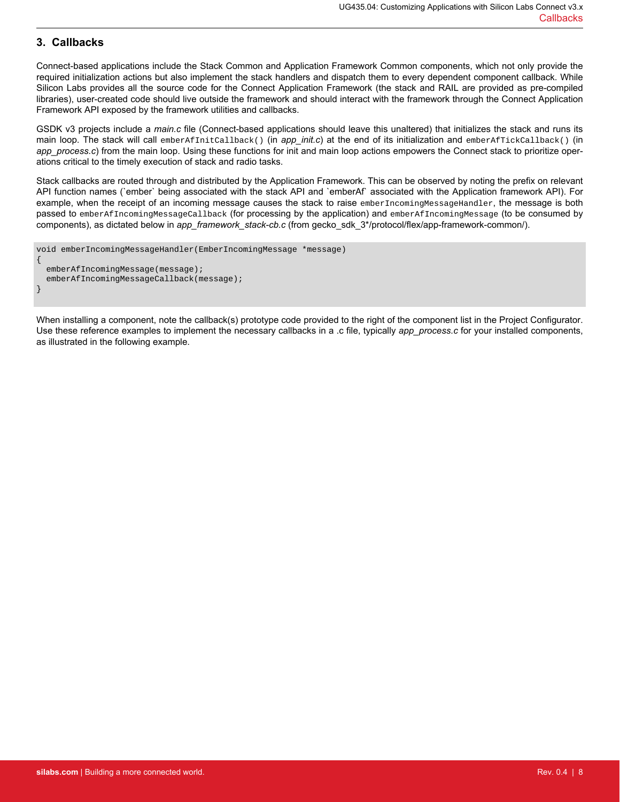## **3. Callbacks**

Connect-based applications include the Stack Common and Application Framework Common components, which not only provide the required initialization actions but also implement the stack handlers and dispatch them to every dependent component callback. While Silicon Labs provides all the source code for the Connect Application Framework (the stack and RAIL are provided as pre-compiled libraries), user-created code should live outside the framework and should interact with the framework through the Connect Application Framework API exposed by the framework utilities and callbacks.

GSDK v3 projects include a *main.c* file (Connect-based applications should leave this unaltered) that initializes the stack and runs its main loop. The stack will call emberAfInitCallback() (in *app\_init.c*) at the end of its initialization and emberAfTickCallback() (in *app\_process.c*) from the main loop. Using these functions for init and main loop actions empowers the Connect stack to prioritize operations critical to the timely execution of stack and radio tasks.

Stack callbacks are routed through and distributed by the Application Framework. This can be observed by noting the prefix on relevant API function names (`ember` being associated with the stack API and `emberAf` associated with the Application framework API). For example, when the receipt of an incoming message causes the stack to raise emberIncomingMessageHandler, the message is both passed to emberAfIncomingMessageCallback (for processing by the application) and emberAfIncomingMessage (to be consumed by components), as dictated below in *app\_framework\_stack-cb.c* (from gecko\_sdk\_3\*/protocol/flex/app-framework-common/).

```
void emberIncomingMessageHandler(EmberIncomingMessage *message)
{
   emberAfIncomingMessage(message);
  emberAfIncomingMessageCallback(message);
}
```
When installing a component, note the callback(s) prototype code provided to the right of the component list in the Project Configurator. Use these reference examples to implement the necessary callbacks in a .c file, typically *app\_process.c* for your installed components, as illustrated in the following example.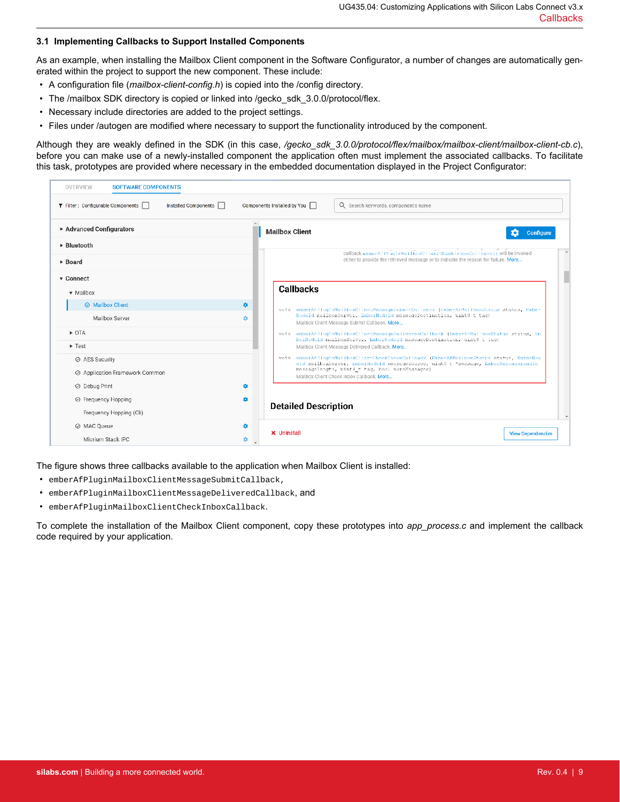#### **3.1 Implementing Callbacks to Support Installed Components**

As an example, when installing the Mailbox Client component in the Software Configurator, a number of changes are automatically generated within the project to support the new component. These include:

- A configuration file (*mailbox-client-config.h*) is copied into the /config directory.
- The /mailbox SDK directory is copied or linked into /gecko\_sdk\_3.0.0/protocol/flex.
- Necessary include directories are added to the project settings.
- Files under /autogen are modified where necessary to support the functionality introduced by the component.

Although they are weakly defined in the SDK (in this case, */gecko\_sdk\_3.0.0/protocol/flex/mailbox/mailbox-client/mailbox-client-cb.c*), before you can make use of a newly-installed component the application often must implement the associated callbacks. To facilitate this task, prototypes are provided where necessary in the embedded documentation displayed in the Project Configurator:

| OVERVIEW<br><b>SOFTWARE COMPONENTS</b>                    |                             |                                                                                                                                                                                                                                                                                                                                                                                                        |  |  |
|-----------------------------------------------------------|-----------------------------|--------------------------------------------------------------------------------------------------------------------------------------------------------------------------------------------------------------------------------------------------------------------------------------------------------------------------------------------------------------------------------------------------------|--|--|
| ▼ Filter: Configurable Components<br>Installed Components | Components Installed by You | Q Search keywords, component's name                                                                                                                                                                                                                                                                                                                                                                    |  |  |
| ▶ Advanced Configurators                                  | <b>Mailbox Client</b>       | Configure                                                                                                                                                                                                                                                                                                                                                                                              |  |  |
| ▶ Bluetooth                                               |                             |                                                                                                                                                                                                                                                                                                                                                                                                        |  |  |
| ▶ Board                                                   |                             | callback ember ACPT ug i nMa i TboxCT Tent.Check I nboxCaTTback () will be invoked<br>either to provide the retrieved message or to indicate the reason for failure. More                                                                                                                                                                                                                              |  |  |
| ▼ Connect                                                 |                             |                                                                                                                                                                                                                                                                                                                                                                                                        |  |  |
| • Mailbox                                                 | <b>Callbacks</b>            |                                                                                                                                                                                                                                                                                                                                                                                                        |  |  |
| <b>⊘ Mailbox Client</b>                                   | ۰                           | void emberAfPluginMailboxClientMessageSubmitCallback (EmberAfMailboxStatus status, Ember                                                                                                                                                                                                                                                                                                               |  |  |
| Mailbox Server                                            | ٠                           | NodeId mailboxServer, EmberNedeId messageDestination, uint8 t tag)<br>Mailbox Client Message Submit Callback. More                                                                                                                                                                                                                                                                                     |  |  |
| $\triangleright$ OTA                                      |                             | void emberAfPluginMailboxClientMessageDeliveredCallback (EmberAfMailboxStatus status, Em<br>berNodeId mailboxServer, EmberNodeId messageDestination, uint8 t tag)<br>Mailbox Client Message Delivered Callback. More<br>void emberAfPluginMailboxClientCheckTnboxCallback (EmberAfMailboxStatus status, EmberNod<br>eid mailboxServer, EmberNodeld messageSource, uint8 t *message, EmberMessageLength |  |  |
| $\blacktriangleright$ Test                                |                             |                                                                                                                                                                                                                                                                                                                                                                                                        |  |  |
| ⊘ AES Security                                            |                             |                                                                                                                                                                                                                                                                                                                                                                                                        |  |  |
| ⊘ Application Framework Common                            |                             | messagelength, uint8_t tag, bool moreMessages)<br>Mailbox Client Check Inbox Callback. More                                                                                                                                                                                                                                                                                                            |  |  |
| ⊘ Debug Print                                             | ٠                           |                                                                                                                                                                                                                                                                                                                                                                                                        |  |  |
| ⊙ Frequency Hopping<br>۰                                  |                             |                                                                                                                                                                                                                                                                                                                                                                                                        |  |  |
| Frequency Hopping (Cli)                                   |                             | <b>Detailed Description</b>                                                                                                                                                                                                                                                                                                                                                                            |  |  |
| ◎ MAC Queue                                               | ۰                           | <b>X</b> Uninstall<br><b>View Dependencies</b>                                                                                                                                                                                                                                                                                                                                                         |  |  |
| Micrium Stack IPC                                         | ۰                           |                                                                                                                                                                                                                                                                                                                                                                                                        |  |  |

The figure shows three callbacks available to the application when Mailbox Client is installed:

- emberAfPluginMailboxClientMessageSubmitCallback,
- emberAfPluginMailboxClientMessageDeliveredCallback, and
- emberAfPluginMailboxClientCheckInboxCallback.

To complete the installation of the Mailbox Client component, copy these prototypes into *app\_process.c* and implement the callback code required by your application.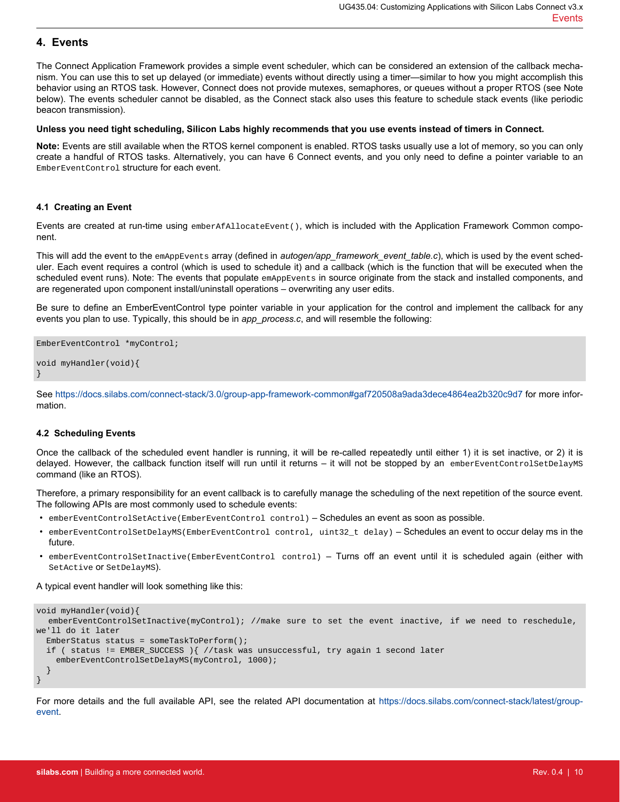### **4. Events**

The Connect Application Framework provides a simple event scheduler, which can be considered an extension of the callback mechanism. You can use this to set up delayed (or immediate) events without directly using a timer—similar to how you might accomplish this behavior using an RTOS task. However, Connect does not provide mutexes, semaphores, or queues without a proper RTOS (see Note below). The events scheduler cannot be disabled, as the Connect stack also uses this feature to schedule stack events (like periodic beacon transmission).

#### **Unless you need tight scheduling, Silicon Labs highly recommends that you use events instead of timers in Connect.**

**Note:** Events are still available when the RTOS kernel component is enabled. RTOS tasks usually use a lot of memory, so you can only create a handful of RTOS tasks. Alternatively, you can have 6 Connect events, and you only need to define a pointer variable to an EmberEventControl structure for each event.

#### **4.1 Creating an Event**

Events are created at run-time using emberAfAllocateEvent(), which is included with the Application Framework Common component.

This will add the event to the emAppEvents array (defined in *autogen/app\_framework\_event\_table.c*), which is used by the event scheduler. Each event requires a control (which is used to schedule it) and a callback (which is the function that will be executed when the scheduled event runs). Note: The events that populate emAppEvents in source originate from the stack and installed components, and are regenerated upon component install/uninstall operations – overwriting any user edits.

Be sure to define an EmberEventControl type pointer variable in your application for the control and implement the callback for any events you plan to use. Typically, this should be in *app\_process.c*, and will resemble the following:

```
EmberEventControl *myControl;
void myHandler(void){
}
```
See <https://docs.silabs.com/connect-stack/3.0/group-app-framework-common#gaf720508a9ada3dece4864ea2b320c9d7> for more information.

#### **4.2 Scheduling Events**

Once the callback of the scheduled event handler is running, it will be re-called repeatedly until either 1) it is set inactive, or 2) it is delayed. However, the callback function itself will run until it returns – it will not be stopped by an emberEventControlSetDelayMS command (like an RTOS).

Therefore, a primary responsibility for an event callback is to carefully manage the scheduling of the next repetition of the source event. The following APIs are most commonly used to schedule events:

- emberEventControlSetActive(EmberEventControl control) Schedules an event as soon as possible.
- emberEventControlSetDelayMS(EmberEventControl control, uint32\_t delay) Schedules an event to occur delay ms in the future.
- emberEventControlSetInactive(EmberEventControl control) Turns off an event until it is scheduled again (either with SetActive or SetDelayMS).

#### A typical event handler will look something like this:

```
void myHandler(void){
   emberEventControlSetInactive(myControl); //make sure to set the event inactive, if we need to reschedule, 
we'll do it later
   EmberStatus status = someTaskToPerform();
   if ( status != EMBER_SUCCESS ){ //task was unsuccessful, try again 1 second later
     emberEventControlSetDelayMS(myControl, 1000);
 }
}
```
For more details and the full available API, see the related API documentation at [https://docs.silabs.com/connect-stack/latest/group](https://docs.silabs.com/connect-stack/latest/group-event)[event](https://docs.silabs.com/connect-stack/latest/group-event).